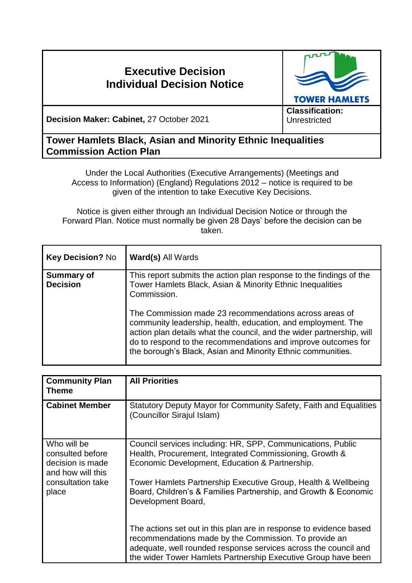# **Executive Decision Individual Decision Notice**



**Decision Maker: Cabinet,** 27 October 2021

**Classification: Unrestricted** 

## **Tower Hamlets Black, Asian and Minority Ethnic Inequalities Commission Action Plan**

Under the Local Authorities (Executive Arrangements) (Meetings and Access to Information) (England) Regulations 2012 – notice is required to be given of the intention to take Executive Key Decisions.

Notice is given either through an Individual Decision Notice or through the Forward Plan. Notice must normally be given 28 Days' before the decision can be taken.

| <b>Key Decision? No</b>              | <b>Ward(s) All Wards</b>                                                                                                                                                                                                                                                                                                        |
|--------------------------------------|---------------------------------------------------------------------------------------------------------------------------------------------------------------------------------------------------------------------------------------------------------------------------------------------------------------------------------|
| <b>Summary of</b><br><b>Decision</b> | This report submits the action plan response to the findings of the<br>Tower Hamlets Black, Asian & Minority Ethnic Inequalities<br>Commission.                                                                                                                                                                                 |
|                                      | The Commission made 23 recommendations across areas of<br>community leadership, health, education, and employment. The<br>action plan details what the council, and the wider partnership, will<br>do to respond to the recommendations and improve outcomes for<br>the borough's Black, Asian and Minority Ethnic communities. |

| <b>Community Plan</b><br>Theme                                                                         | <b>All Priorities</b>                                                                                                                                                                                                                     |  |
|--------------------------------------------------------------------------------------------------------|-------------------------------------------------------------------------------------------------------------------------------------------------------------------------------------------------------------------------------------------|--|
| <b>Cabinet Member</b>                                                                                  | Statutory Deputy Mayor for Community Safety, Faith and Equalities<br>(Councillor Sirajul Islam)                                                                                                                                           |  |
| Who will be<br>consulted before<br>decision is made<br>and how will this<br>consultation take<br>place | Council services including: HR, SPP, Communications, Public<br>Health, Procurement, Integrated Commissioning, Growth &<br>Economic Development, Education & Partnership.<br>Tower Hamlets Partnership Executive Group, Health & Wellbeing |  |
|                                                                                                        | Board, Children's & Families Partnership, and Growth & Economic<br>Development Board,<br>The actions set out in this plan are in response to evidence based                                                                               |  |
|                                                                                                        | recommendations made by the Commission. To provide an<br>adequate, well rounded response services across the council and<br>the wider Tower Hamlets Partnership Executive Group have been                                                 |  |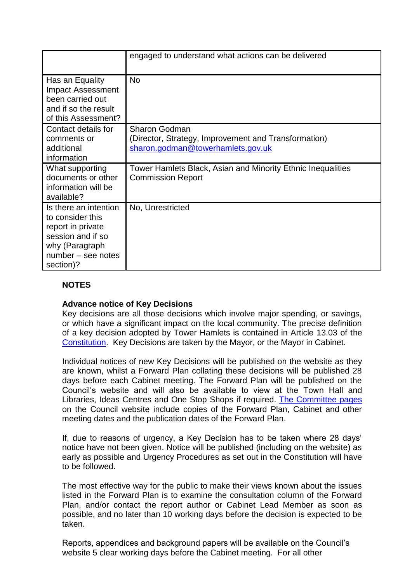|                                                                                                                                          | engaged to understand what actions can be delivered                                                               |
|------------------------------------------------------------------------------------------------------------------------------------------|-------------------------------------------------------------------------------------------------------------------|
| Has an Equality<br><b>Impact Assessment</b><br>been carried out<br>and if so the result<br>of this Assessment?                           | <b>No</b>                                                                                                         |
| Contact details for<br>comments or<br>additional<br>information                                                                          | <b>Sharon Godman</b><br>(Director, Strategy, Improvement and Transformation)<br>sharon.godman@towerhamlets.gov.uk |
| What supporting<br>documents or other<br>information will be<br>available?                                                               | Tower Hamlets Black, Asian and Minority Ethnic Inequalities<br><b>Commission Report</b>                           |
| Is there an intention<br>to consider this<br>report in private<br>session and if so<br>why (Paragraph<br>number – see notes<br>section)? | No, Unrestricted                                                                                                  |

### **NOTES**

#### **Advance notice of Key Decisions**

Key decisions are all those decisions which involve major spending, or savings, or which have a significant impact on the local community. The precise definition of a key decision adopted by Tower Hamlets is contained in Article 13.03 of the [Constitution.](http://democracy.towerhamlets.gov.uk/ieListMeetings.aspx?CId=663&Year=0&info=1&MD=Constitution) Key Decisions are taken by the Mayor, or the Mayor in Cabinet.

Individual notices of new Key Decisions will be published on the website as they are known, whilst a Forward Plan collating these decisions will be published 28 days before each Cabinet meeting. The Forward Plan will be published on the Council's website and will also be available to view at the Town Hall and Libraries, Ideas Centres and One Stop Shops if required. [The Committee pages](https://democracy.towerhamlets.gov.uk/uuCoverPage.aspx?bcr=1) on the Council website include copies of the Forward Plan, Cabinet and other meeting dates and the publication dates of the Forward Plan.

If, due to reasons of urgency, a Key Decision has to be taken where 28 days' notice have not been given. Notice will be published (including on the website) as early as possible and Urgency Procedures as set out in the Constitution will have to be followed.

The most effective way for the public to make their views known about the issues listed in the Forward Plan is to examine the consultation column of the Forward Plan, and/or contact the report author or Cabinet Lead Member as soon as possible, and no later than 10 working days before the decision is expected to be taken.

Reports, appendices and background papers will be available on the Council's website 5 clear working days before the Cabinet meeting. For all other